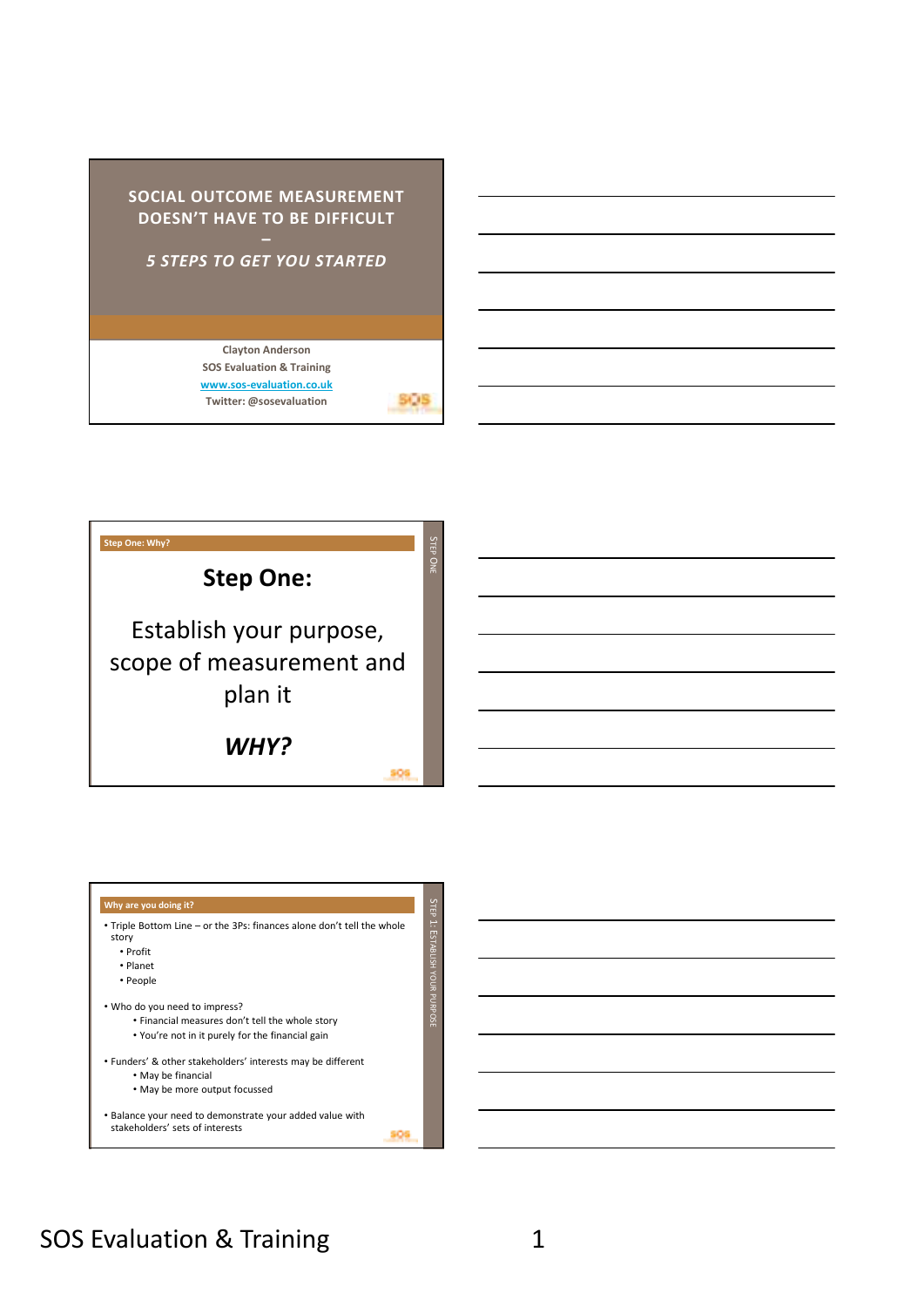# **SOCIAL OUTCOME MEASUREMENT DOESN'T HAVE TO BE DIFFICULT**  *5 STEPS TO GET YOU STARTED* **Clayton Anderson SOS Evaluation & Training**

**www.sos-evaluation.co.uk Twitter: @sosevaluation**

**SIDS** 

**Step One: Why?** un TEP O**Step One:**  Establish your purpose, scope of measurement and plan it *WHY?*  309



## SOS Evaluation & Training 1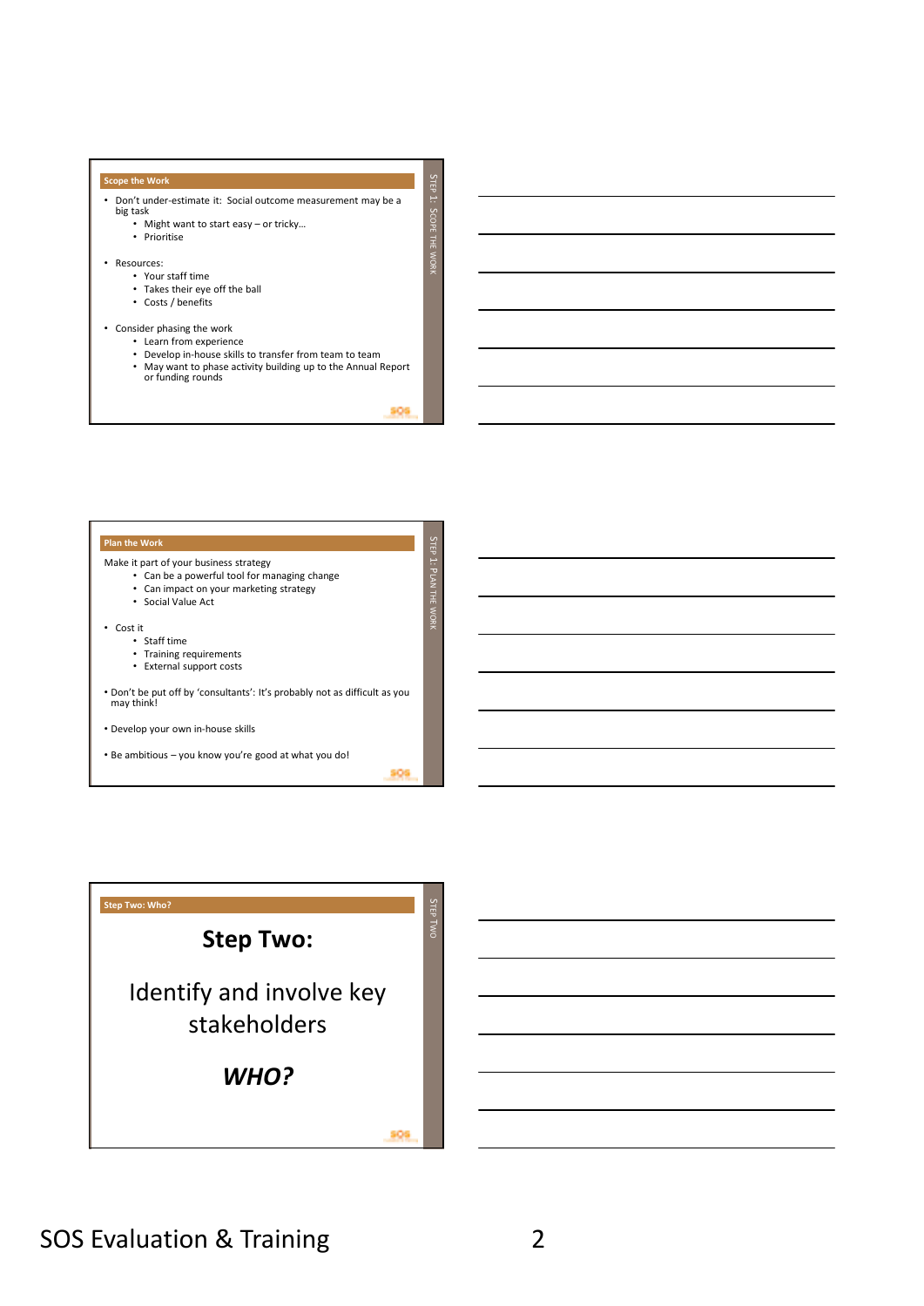## **Scope the Work**

- Don't under-estimate it: Social outcome measurement may be a big task
	- Might want to start easy or tricky… • Prioritise
- Resources:
	- Your staff time
	- Takes their eye off the ball
	- Costs / benefits
- Consider phasing the work
	- Learn from experience
	- Develop in-house skills to transfer from team to team
	- May want to phase activity building up to the Annual Report or funding rounds

309

 $\mathsf{c}$ TEP ::<br>S

COPE THE WORK

## **Plan the Work** un TEP Make it part of your business strategy • Can be a powerful tool for managing change : <del>ا</del> LAN THE WORK • Can impact on your marketing strategy • Social Value Act • Cost it • Staff time • Training requirements • External support costs • Don't be put off by 'consultants': It's probably not as difficult as you may think! • Develop your own in-house skills • Be ambitious – you know you're good at what you do! 309



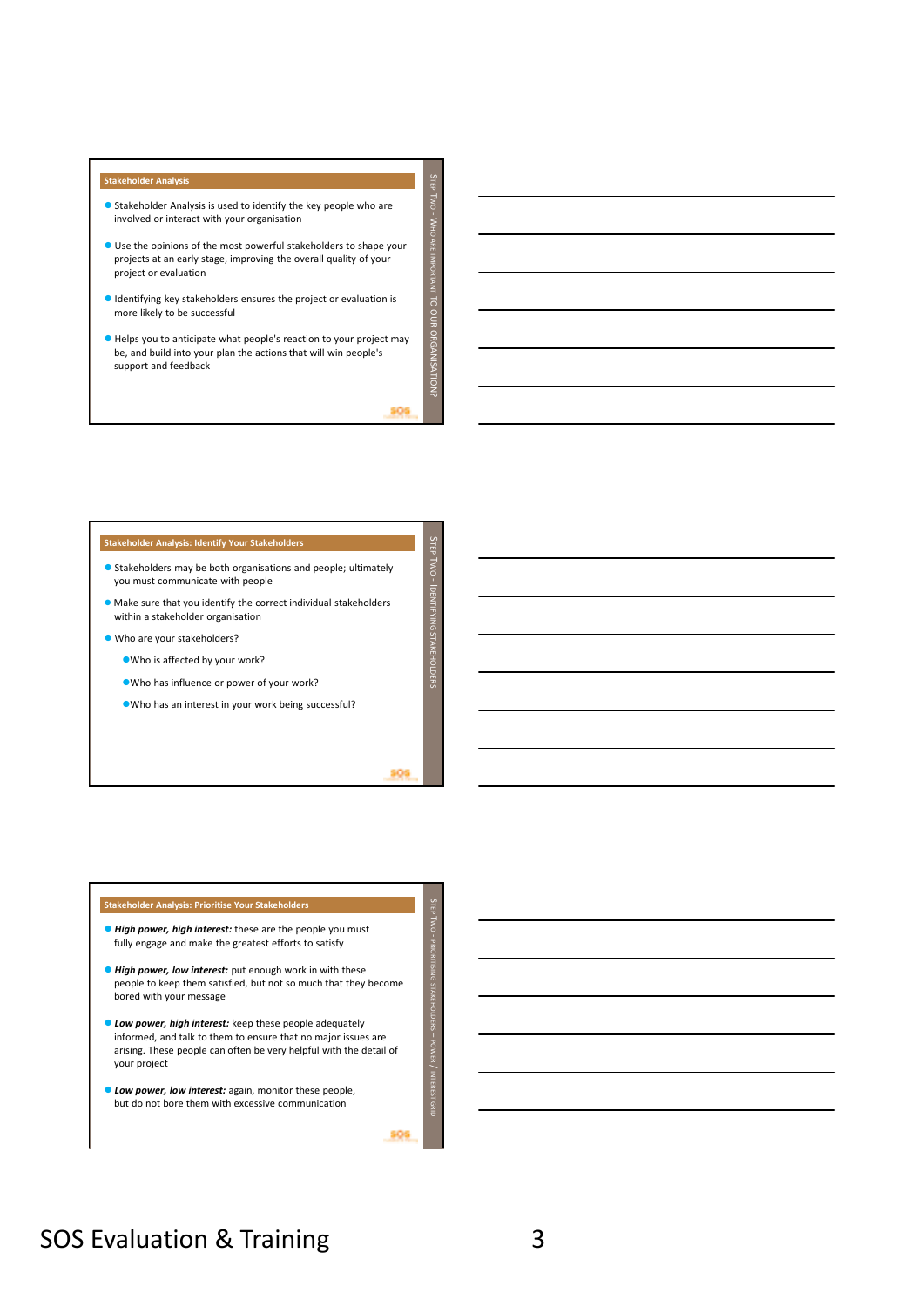### **Stakeholder Analysis**

- Stakeholder Analysis is used to identify the key people who are involved or interact with your organisation
- Use the opinions of the most powerful stakeholders to shape your projects at an early stage, improving the overall quality of your project or evaluation
- Identifying key stakeholders ensures the project or evaluation is more likely to be successful
- Helps you to anticipate what people's reaction to your project may be, and build into your plan the actions that will win people's support and feedback

806

 $\mathsf{C}$ TEP **Time** WO .<br>ح

HO ARE IMPORTANT

TO OUR ORGANISATION?

inn ci

un TEP WO

DENTIFYING STAKEHOLDERS

 $\overline{\mathcal{L}}$ TEP WO

PRIORITISING STAKEHOLDERS

POWER

INTEREST GRID

### **Stakeholder Analysis: Identify Your Stakeholders**

- Stakeholders may be both organisations and people; ultimately you must communicate with people
- Make sure that you identify the correct individual stakeholders within a stakeholder organisation
- Who are your stakeholders?
	- Who is affected by your work?
	- Who has influence or power of your work?
	- Who has an interest in your work being successful?

806

### **Stakeholder Analysis: Prioritise Your Stakeholders**

- *High power, high interest:* these are the people you must fully engage and make the greatest efforts to satisfy
- *High power, low interest:* put enough work in with these people to keep them satisfied, but not so much that they become bored with your message
- *Low power, high interest:* keep these people adequately informed, and talk to them to ensure that no major issues are arising. These people can often be very helpful with the detail of your project
- *Low power, low interest:* again, monitor these people, but do not bore them with excessive communication

\$06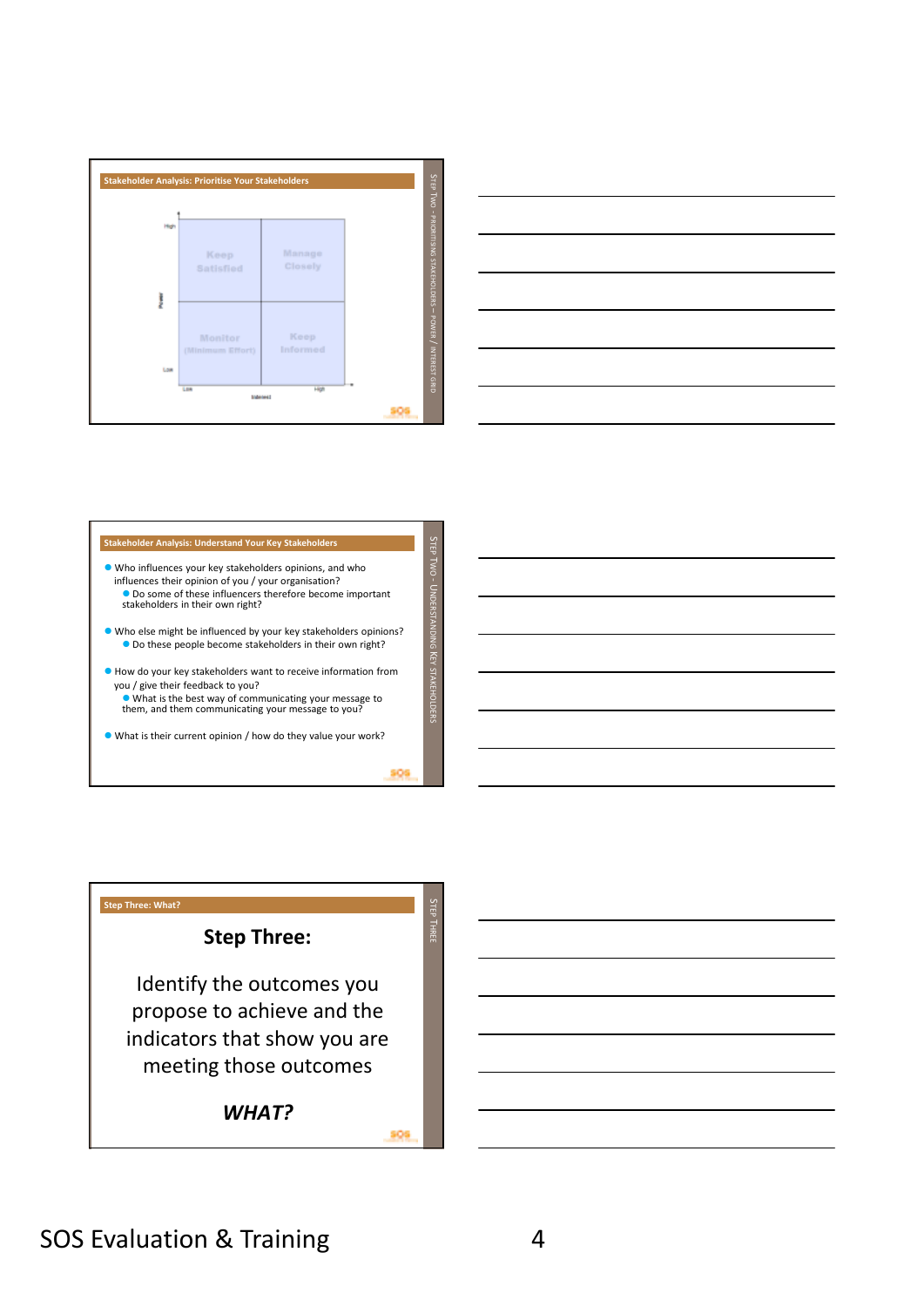



## **Stakeholder Analysis: Understand Your Key Stakeholders**

- Who influences your key stakeholders opinions, and who influences their opinion of you / your organisation? Do some of these influencers therefore become important stakeholders in their own right? Who else might be influenced by your key stakeholders opinions?  $\bullet$  Do these people become stakeholders in their own right?
- How do your key stakeholders want to receive information from you / give their feedback to you?
	- What is the best way of communicating your message to them, and them communicating your message to you?
- What is their current opinion / how do they value your work?

## S TEP  $\overline{\phantom{0}}$ H<br>H **Step Three: What? Step Three:**  Identify the outcomes you propose to achieve and the indicators that show you are meeting those outcomes *WHAT?*

909

un TEP WO .<br>د

NDERSTANDING

 $\overline{\phantom{1}}$ 

EY STAKEHOLDERS

309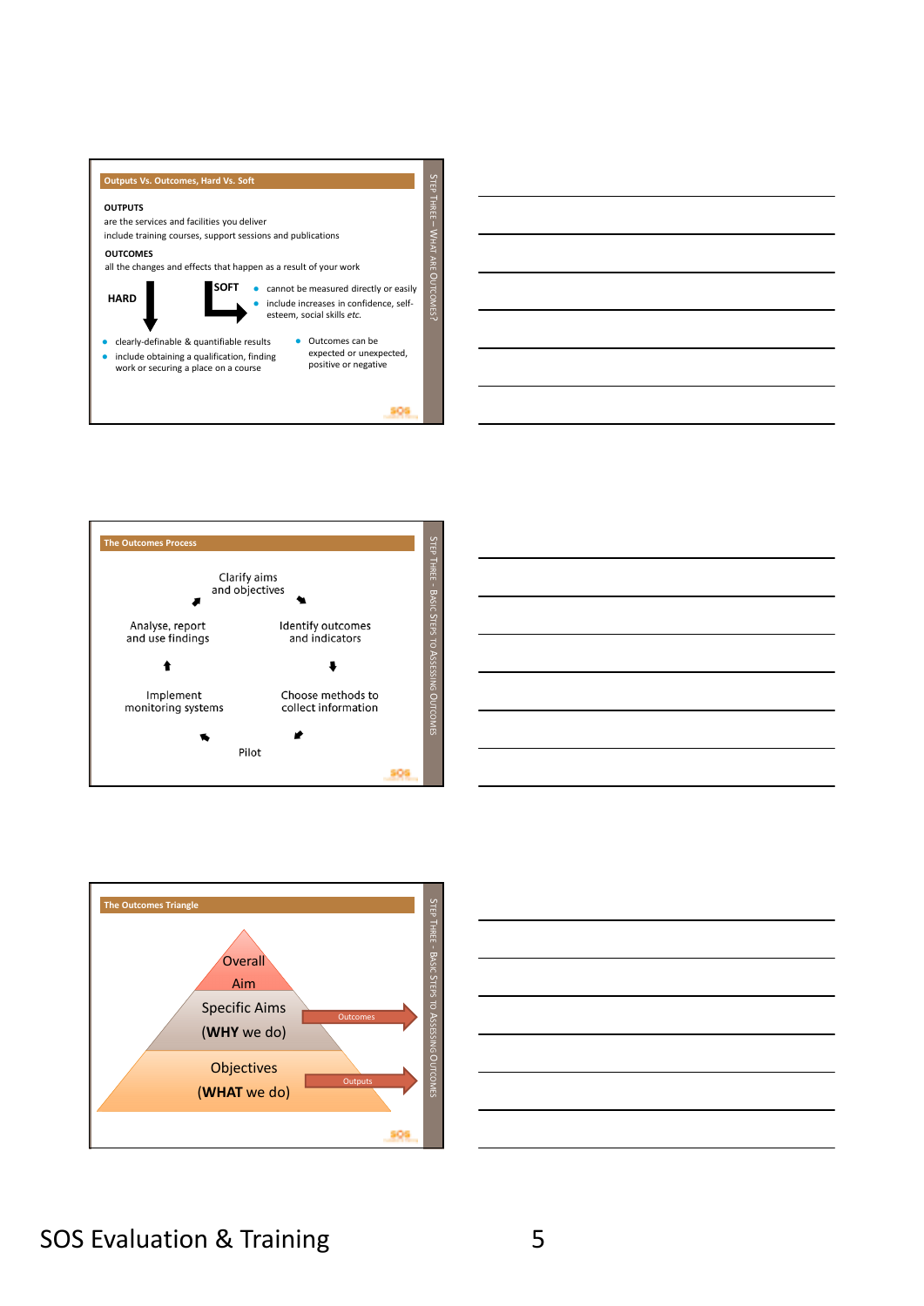

309









## SOS Evaluation & Training The Society of Society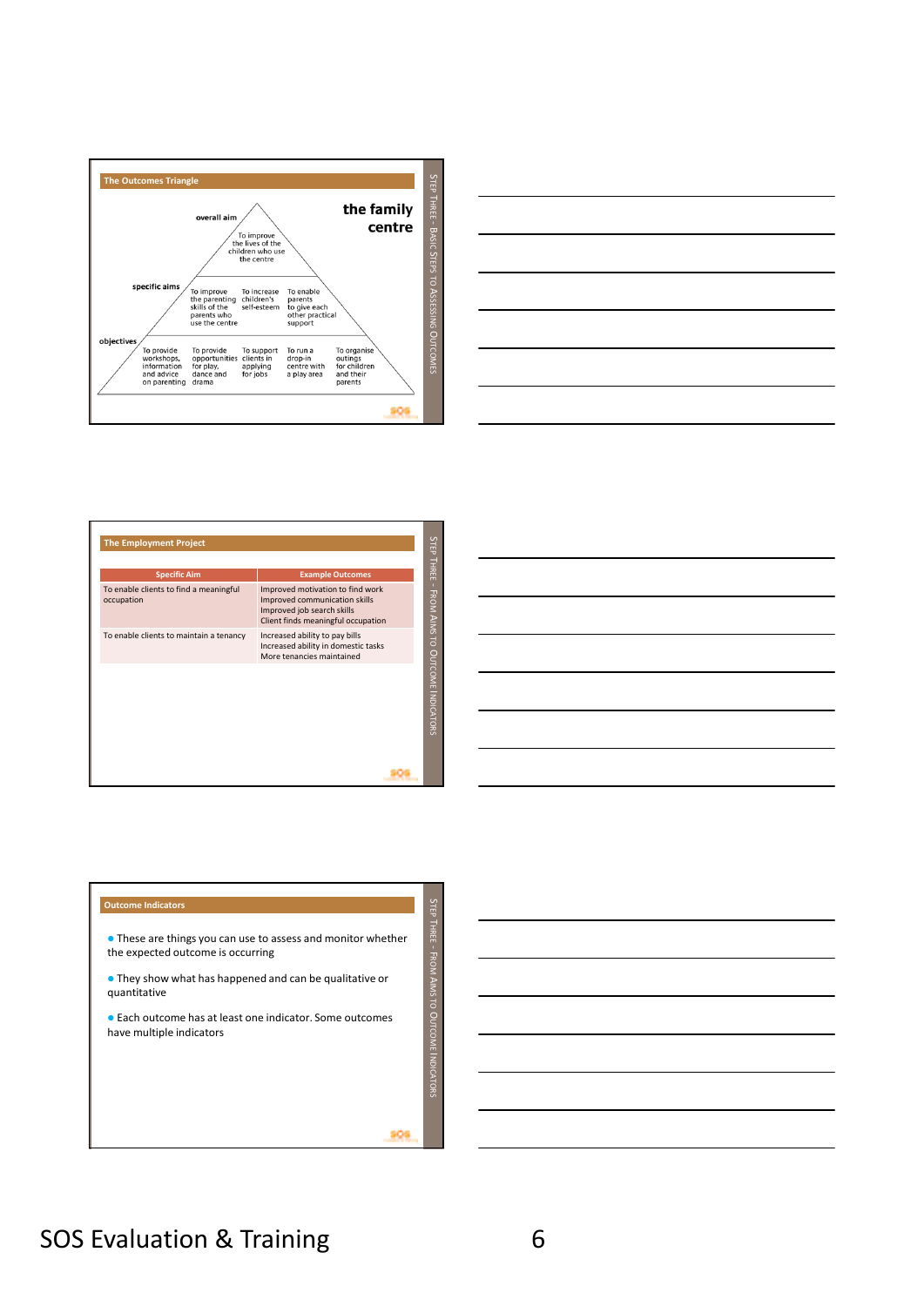



| <b>The Employment Project</b>                        |                                                                                                                                       |                                 |
|------------------------------------------------------|---------------------------------------------------------------------------------------------------------------------------------------|---------------------------------|
| <b>Specific Aim</b>                                  | <b>Example Outcomes</b>                                                                                                               | <b>STEP THREE</b>               |
| To enable clients to find a meaningful<br>occupation | Improved motivation to find work<br>Improved communication skills<br>Improved job search skills<br>Client finds meaningful occupation | FROM AIMS TO OUTCOME INDICATORS |
| To enable clients to maintain a tenancy              | Increased ability to pay bills<br>Increased ability in domestic tasks<br>More tenancies maintained                                    |                                 |
|                                                      |                                                                                                                                       |                                 |
|                                                      |                                                                                                                                       |                                 |



 These are things you can use to assess and monitor whether the expected outcome is occurring

 They show what has happened and can be qualitative or quantitative

 Each outcome has at least one indicator. Some outcomes have multiple indicators

309

STEP THREE  $\frac{1}{4}$ 

ROM AIMS TO O

UTCOME

NDICATORS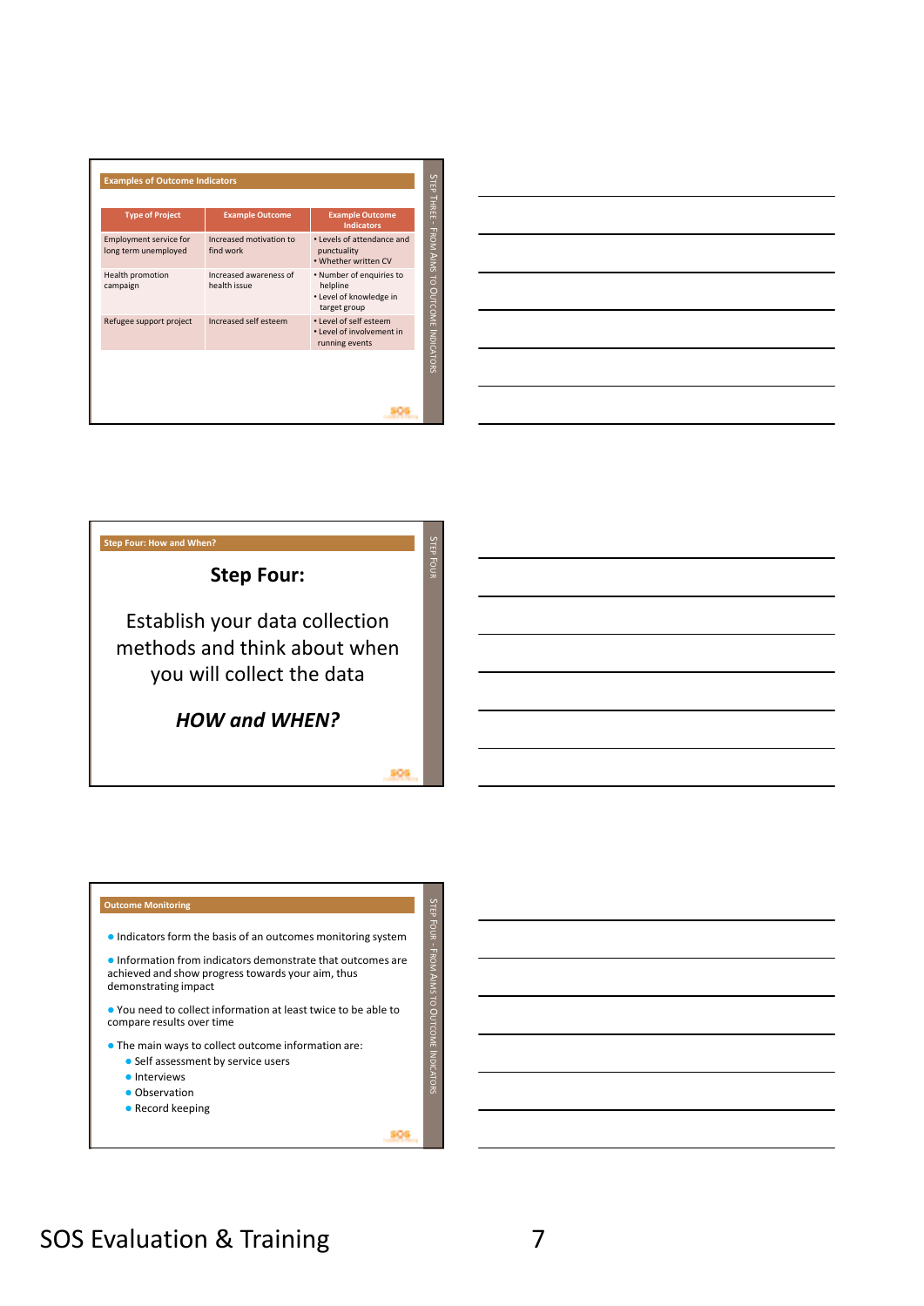| <b>Type of Project</b>                                | <b>Example Outcome</b>                 | <b>Example Outcome</b><br><b>Indicators</b>                                     |
|-------------------------------------------------------|----------------------------------------|---------------------------------------------------------------------------------|
| <b>Employment service for</b><br>long term unemployed | Increased motivation to<br>find work   | • Levels of attendance and<br>punctuality<br>. Whether written CV               |
| Health promotion<br>campaign                          | Increased awareness of<br>health issue | • Number of enquiries to<br>helpline<br>• Level of knowledge in<br>target group |
| Refugee support project                               | Increased self esteem                  | • Level of self esteem<br>• Level of involvement in<br>running events           |





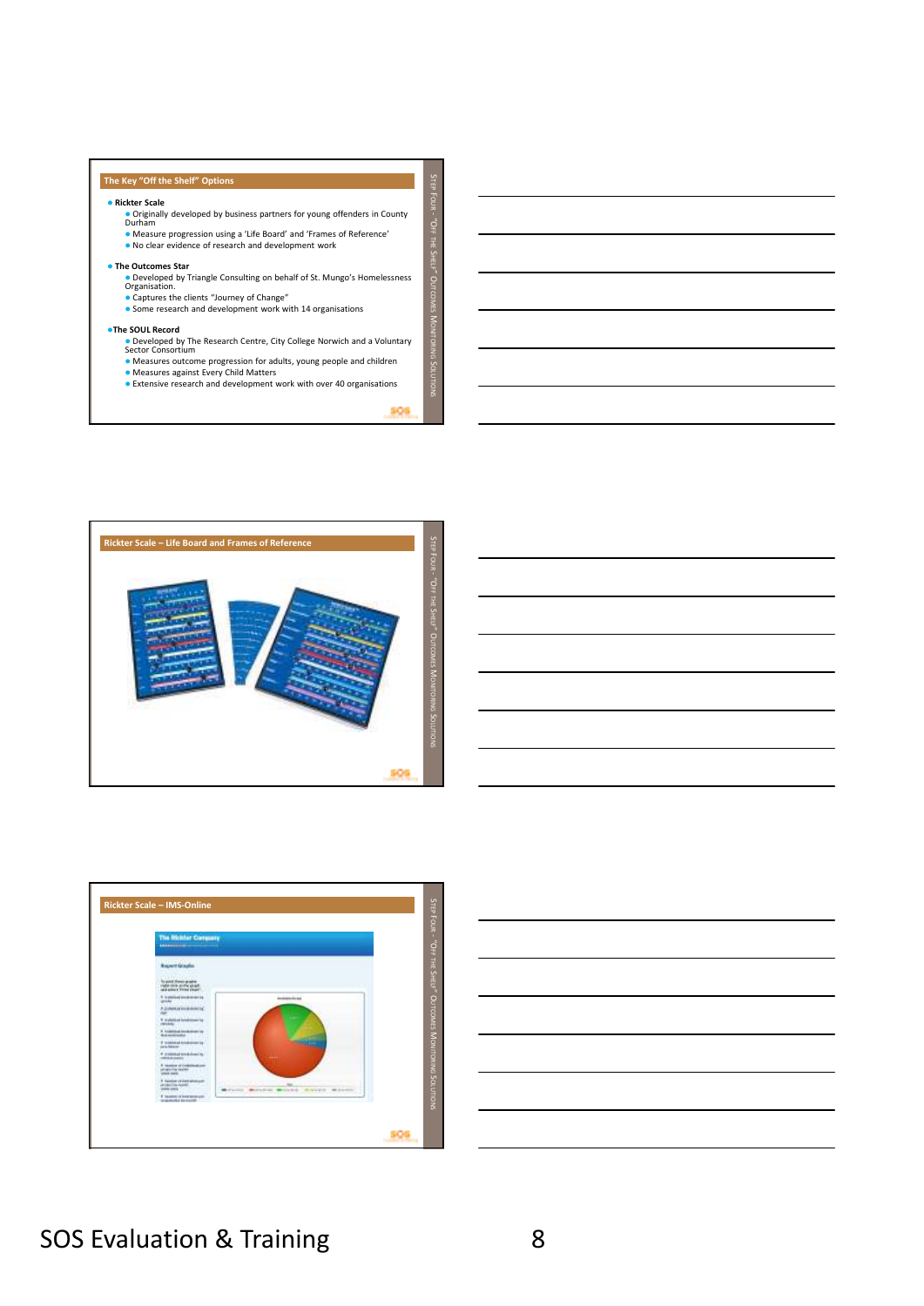## **The Key "Off the Shelf" Options**

#### **Rickter Scale**

Originally developed by business partners for young offenders in County Durham

 Measure progression using a 'Life Board' and 'Frames of Reference' No clear evidence of research and development work

#### **The Outcomes Star**

Developed by Triangle Consulting on behalf of St. Mungo's Homelessness Organisation.

Captures the clients "Journey of Change" Some research and development work with 14 organisations

## **The SOUL Record**

- Developed by The Research Centre, City College Norwich and a Voluntary<br>Sector Consortium<br>● Measures outcome progression for adults, young people and children
- 
- Measures against Every Child Matters Extensive research and development work with over 40 organisations

906

 $\overline{\mathcal{L}}$ TEP Fg .<br>ة FF THE  $\overline{\mathcal{L}}$ HELF $\dot{\circ}$ UTCOMES z ONITORING  $\mathsf{c}$ OLUTIONS









## SOS Evaluation & Training 8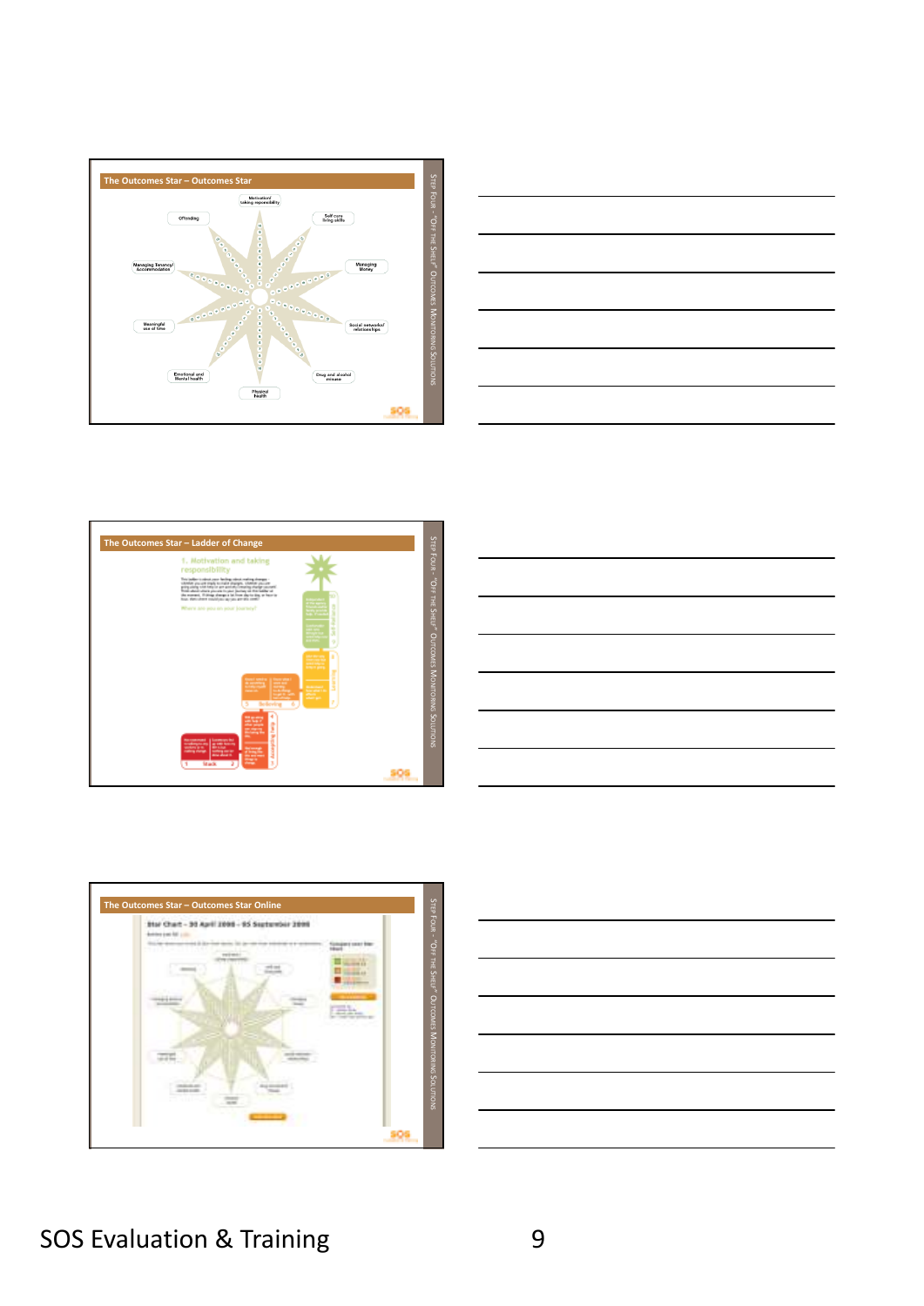









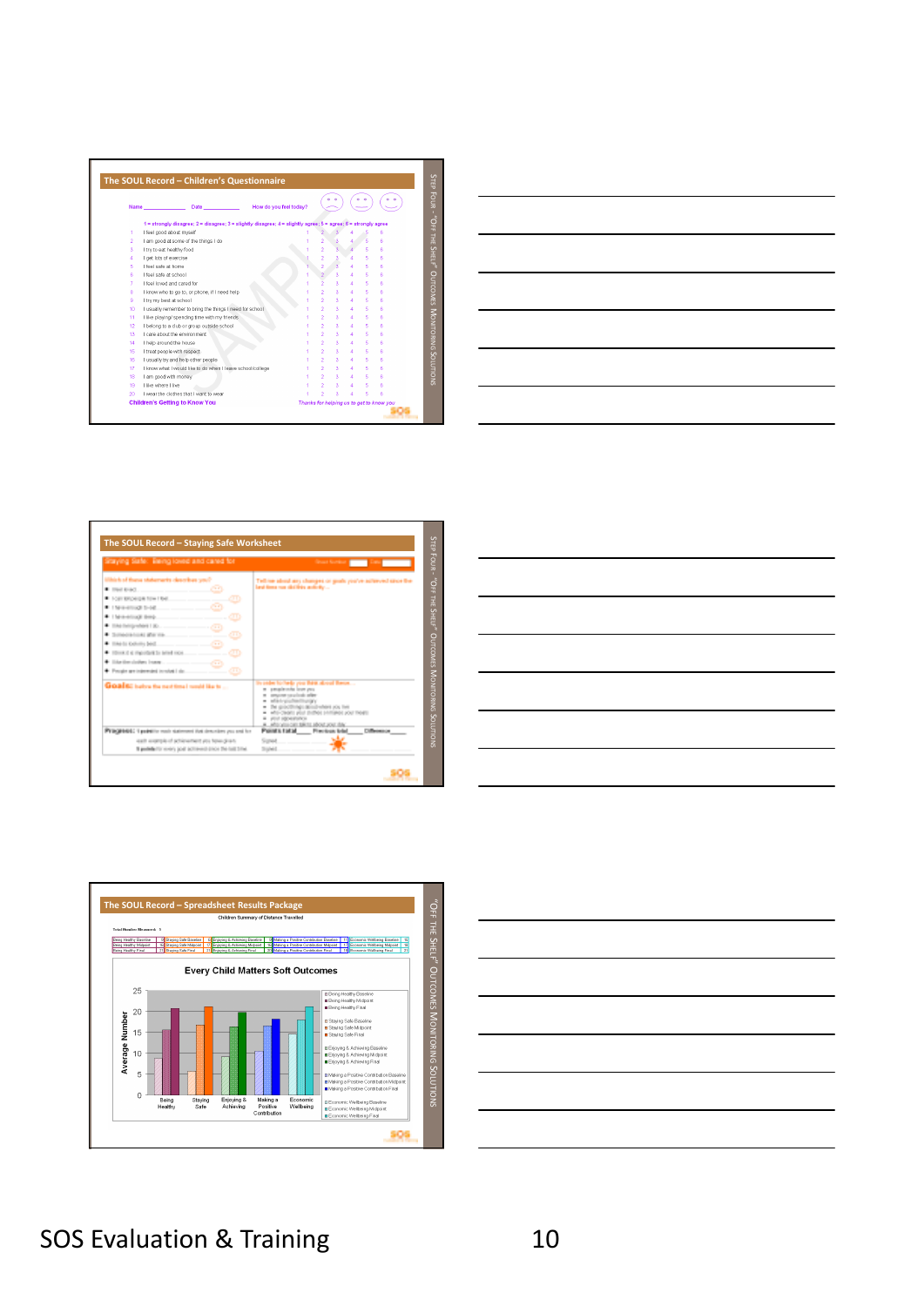









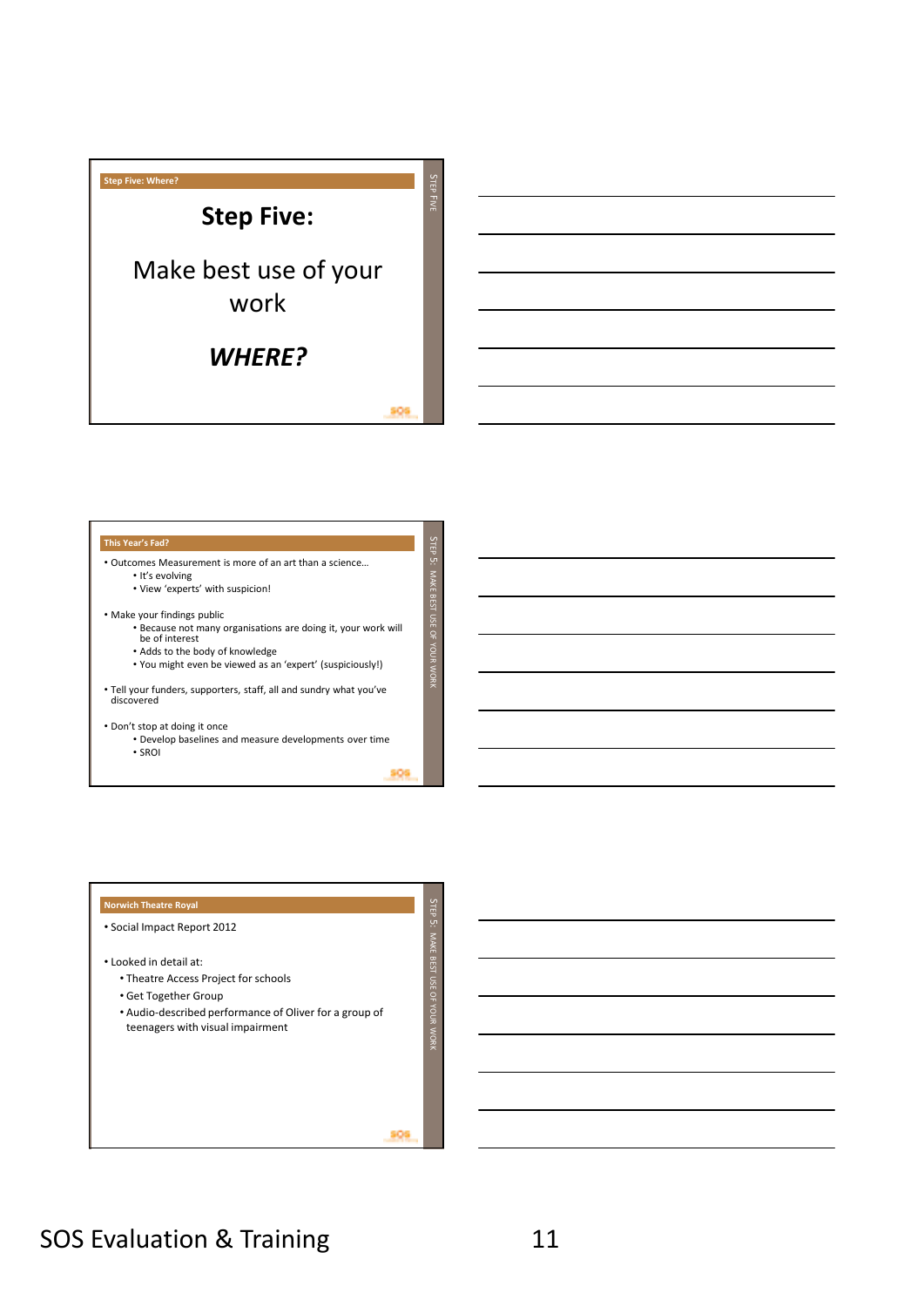

### **This Year's Fad?**

• Outcomes Measurement is more of an art than a science…

• It's evolving

• View 'experts' with suspicion!

• Make your findings public

- Because not many organisations are doing it, your work will be of interest
- Adds to the body of knowledge
- You might even be viewed as an 'expert' (suspiciously!)

• Tell your funders, supporters, staff, all and sundry what you've discovered

• Don't stop at doing it once

- Develop baselines and measure developments over time
- SROI

309

un TEP 5:

MAKE BEST USE OF YOUR WORK

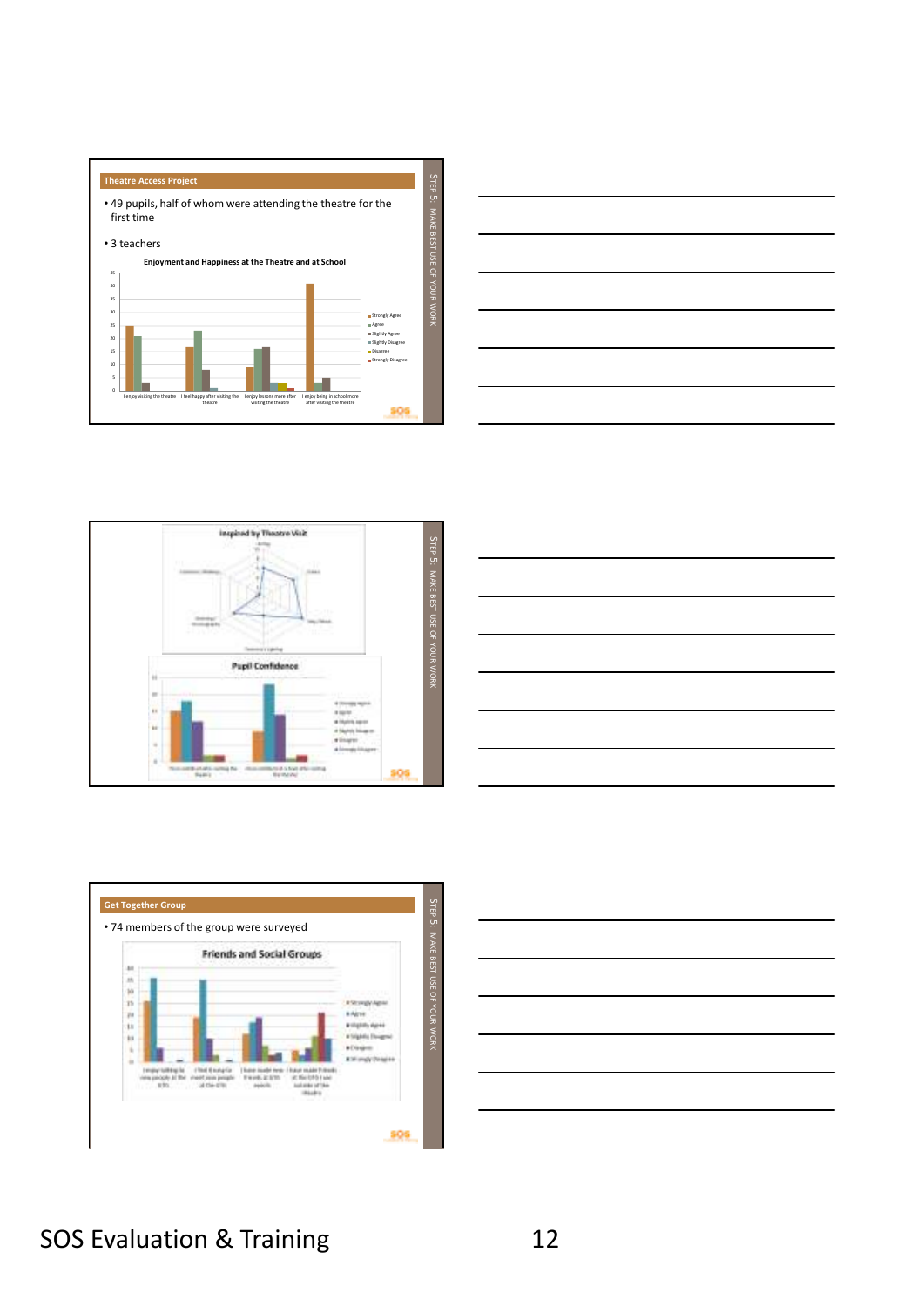









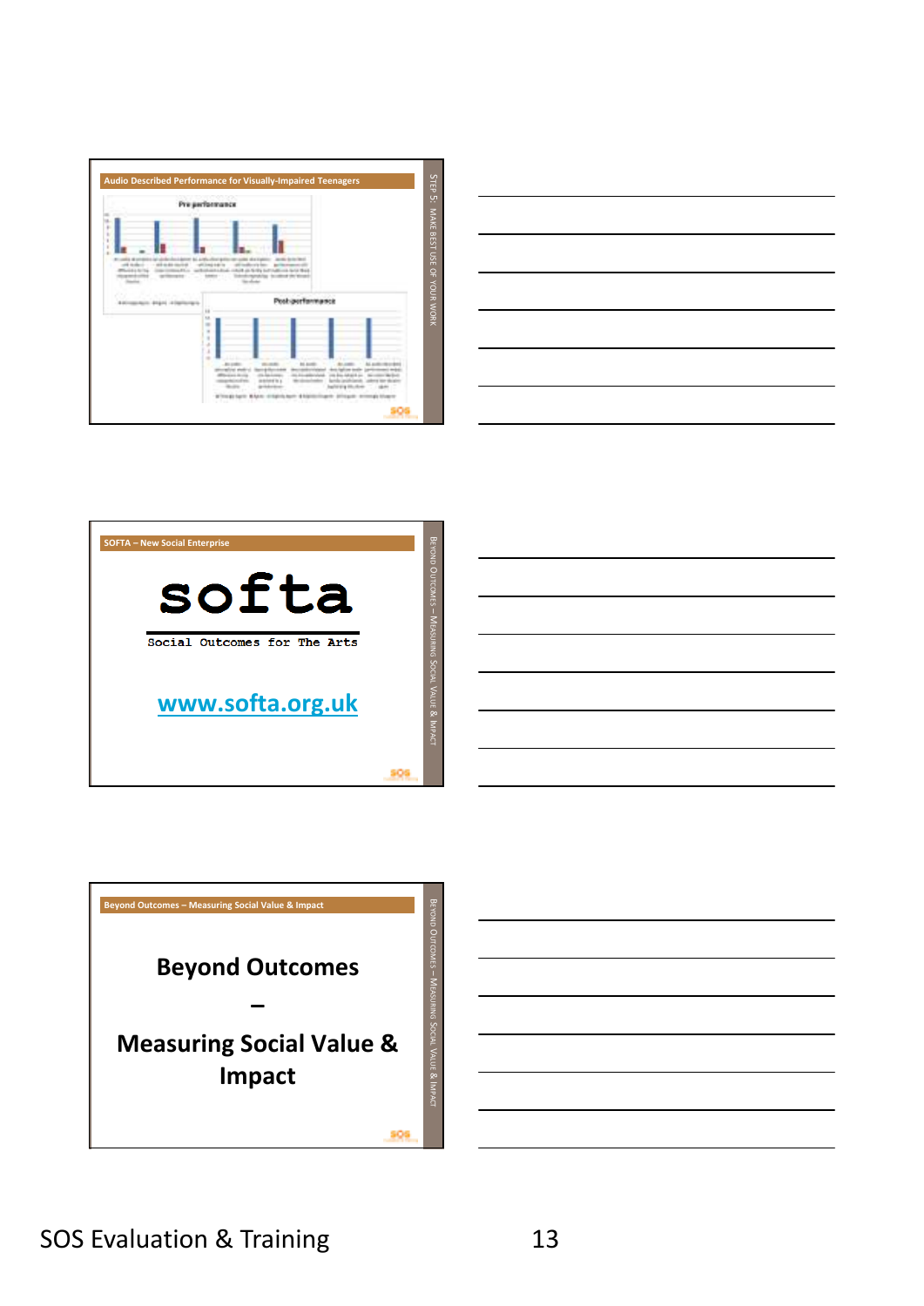







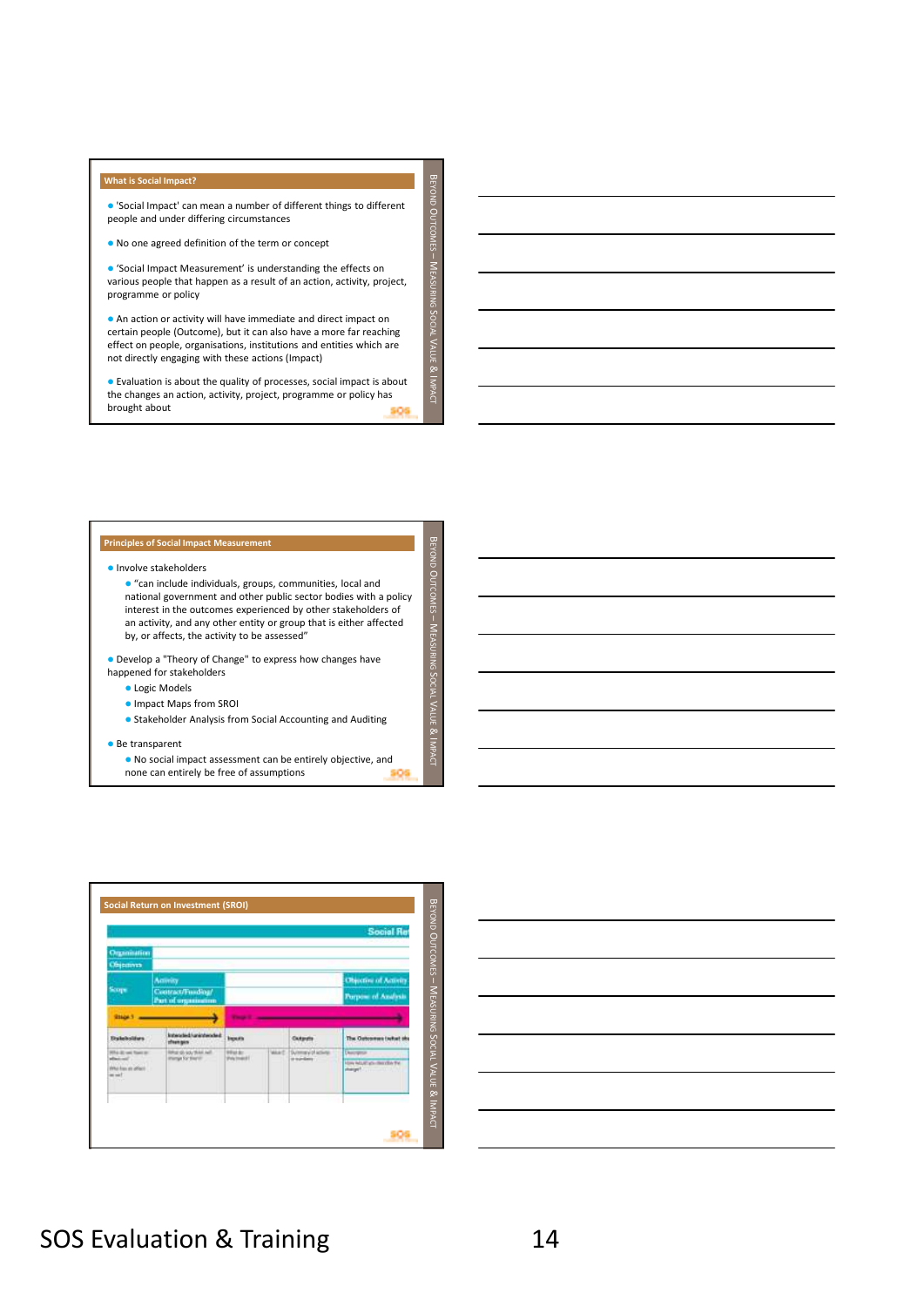#### **What is Social Impact?**

 'Social Impact' can mean a number of different things to different people and under differing circumstances

EYOND OUTCOMES  $\frac{1}{2}$ EASURING S OCIAL  $\prec$ ALUE & IMPACT

EYOND OUTCOMES  $\frac{1}{3}$ EASURING  $\mathsf{c}$ OCIAL  $\prec$ ALUE & IMPACT

No one agreed definition of the term or concept

 'Social Impact Measurement' is understanding the effects on various people that happen as a result of an action, activity, project, programme or policy

 An action or activity will have immediate and direct impact on certain people (Outcome), but it can also have a more far reaching effect on people, organisations, institutions and entities which are not directly engaging with these actions (Impact)

 Evaluation is about the quality of processes, social impact is about the changes an action, activity, project, programme or policy has brought about 80)

#### **Principles of Social Impact Measurement**

## Involve stakeholders

 "can include individuals, groups, communities, local and national government and other public sector bodies with a policy interest in the outcomes experienced by other stakeholders of an activity, and any other entity or group that is either affected by, or affects, the activity to be assessed"

 Develop a "Theory of Change" to express how changes have happened for stakeholders

- **.** Logic Models
- Impact Maps from SROI
- **Stakeholder Analysis from Social Accounting and Auditing**

#### Be transparent

 No social impact assessment can be entirely objective, and none can entirely be free of assumptions 899



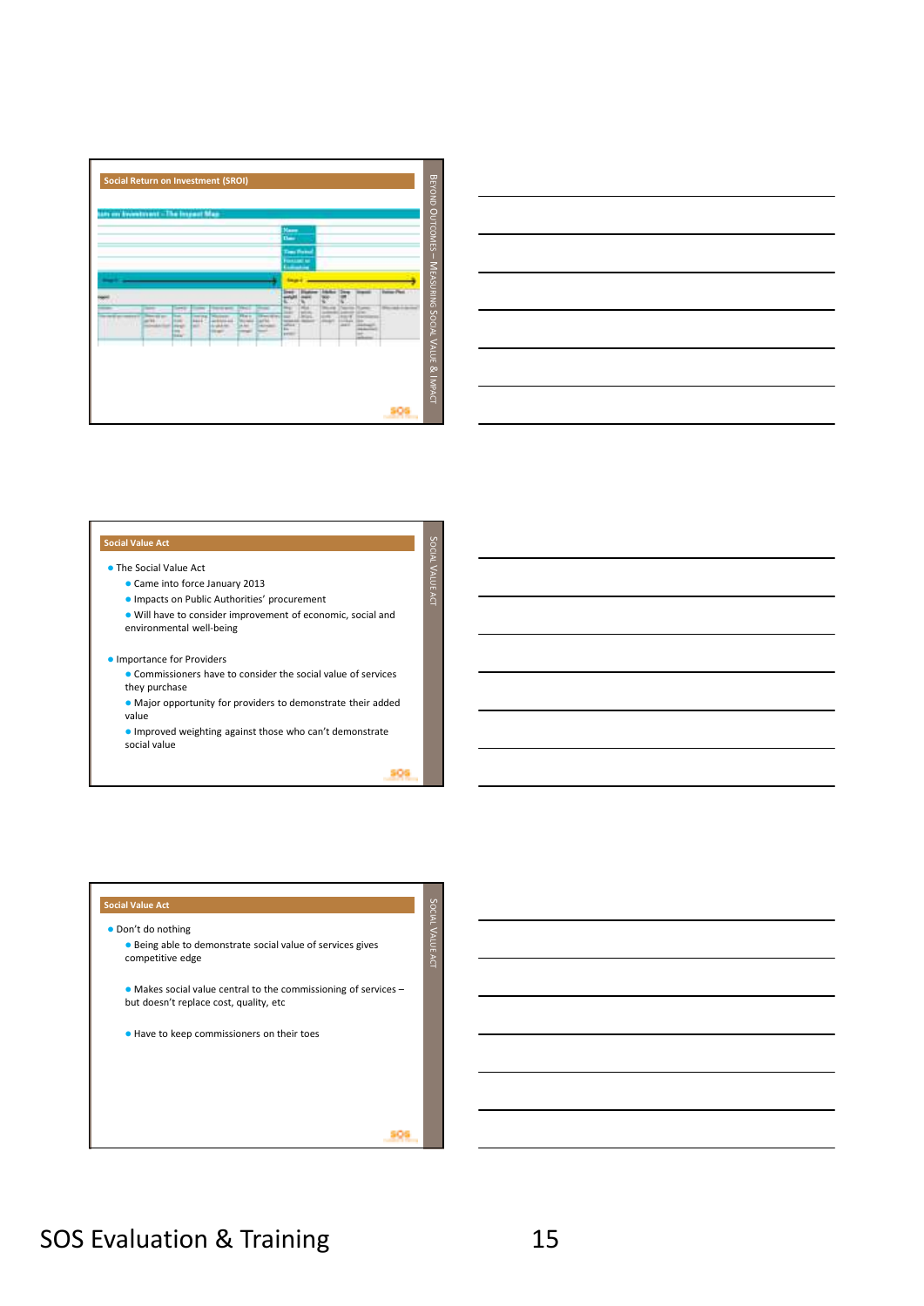



### **Social Value Act**

## The Social Value Act

- Came into force January 2013
- Impacts on Public Authorities' procurement
- Will have to consider improvement of economic, social and environmental well-being

## **Importance for Providers**

- Commissioners have to consider the social value of services they purchase
- Major opportunity for providers to demonstrate their added value
- Improved weighting against those who can't demonstrate social value

909

un OCIAL  $\prec$ ALUE ACT